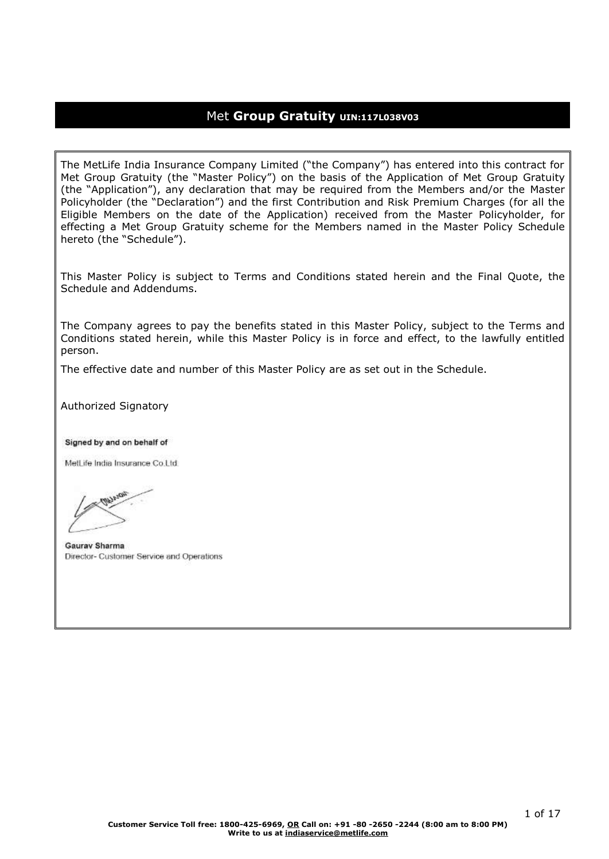## Met **Group Gratuity UIN:117L038V03**

The MetLife India Insurance Company Limited ("the Company") has entered into this contract for Met Group Gratuity (the "Master Policy") on the basis of the Application of Met Group Gratuity (the "Application"), any declaration that may be required from the Members and/or the Master Policyholder (the "Declaration") and the first Contribution and Risk Premium Charges (for all the Eligible Members on the date of the Application) received from the Master Policyholder, for effecting a Met Group Gratuity scheme for the Members named in the Master Policy Schedule hereto (the "Schedule").

This Master Policy is subject to Terms and Conditions stated herein and the Final Quote, the Schedule and Addendums.

The Company agrees to pay the benefits stated in this Master Policy, subject to the Terms and Conditions stated herein, while this Master Policy is in force and effect, to the lawfully entitled person.

The effective date and number of this Master Policy are as set out in the Schedule.

Authorized Signatory

Signed by and on behalf of

MetLife India Insurance Co.Ltd.

Gauray Sharma Director- Customer Service and Operations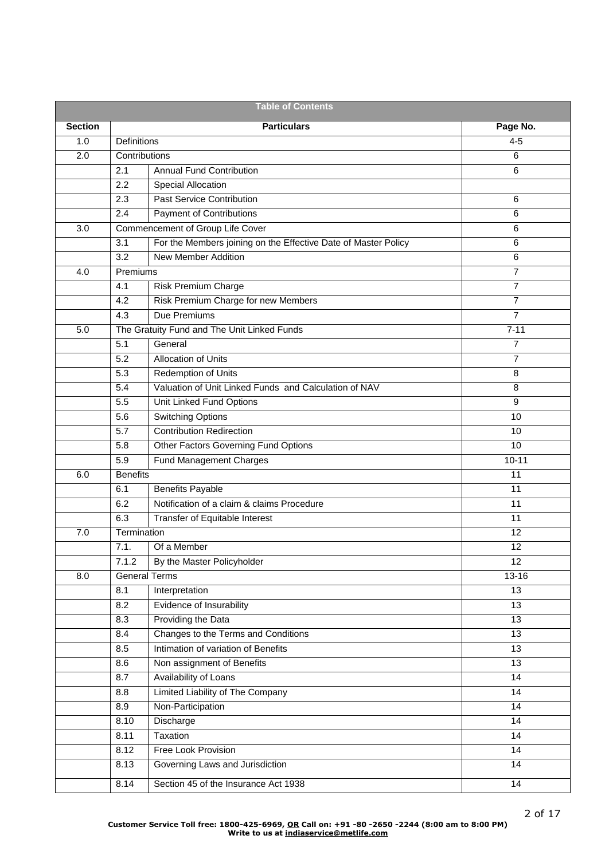| <b>Table of Contents</b> |                  |                                                                |                 |  |  |  |
|--------------------------|------------------|----------------------------------------------------------------|-----------------|--|--|--|
| <b>Section</b>           |                  | <b>Particulars</b>                                             | Page No.        |  |  |  |
| 1.0                      | Definitions      |                                                                | $4 - 5$         |  |  |  |
| 2.0                      | Contributions    |                                                                | 6               |  |  |  |
|                          | 2.1              | <b>Annual Fund Contribution</b>                                | 6               |  |  |  |
|                          | 2.2              | Special Allocation                                             |                 |  |  |  |
|                          | 2.3              | <b>Past Service Contribution</b>                               | 6               |  |  |  |
|                          | 2.4              | <b>Payment of Contributions</b>                                | 6               |  |  |  |
| 3.0                      |                  | Commencement of Group Life Cover                               | 6               |  |  |  |
|                          | 3.1              | For the Members joining on the Effective Date of Master Policy | 6               |  |  |  |
|                          | 3.2              | <b>New Member Addition</b>                                     | 6               |  |  |  |
| 4.0                      | Premiums         |                                                                | 7               |  |  |  |
|                          | 4.1              | <b>Risk Premium Charge</b>                                     | $\overline{7}$  |  |  |  |
|                          | 4.2              | Risk Premium Charge for new Members                            | $\overline{7}$  |  |  |  |
|                          | 4.3              | Due Premiums                                                   | 7               |  |  |  |
| 5.0                      |                  | The Gratuity Fund and The Unit Linked Funds                    | $7 - 11$        |  |  |  |
|                          | 5.1              | General                                                        | 7               |  |  |  |
|                          | 5.2              | <b>Allocation of Units</b>                                     | $\overline{7}$  |  |  |  |
|                          | 5.3              | <b>Redemption of Units</b>                                     | 8               |  |  |  |
|                          | 5.4              | Valuation of Unit Linked Funds and Calculation of NAV          | 8               |  |  |  |
|                          | 5.5              | Unit Linked Fund Options                                       | 9               |  |  |  |
|                          | 5.6              | <b>Switching Options</b>                                       | 10              |  |  |  |
|                          | 5.7              | <b>Contribution Redirection</b>                                | 10              |  |  |  |
|                          | $\overline{5.8}$ | Other Factors Governing Fund Options                           | 10              |  |  |  |
|                          | 5.9              | Fund Management Charges                                        | $10 - 11$       |  |  |  |
| 6.0                      | <b>Benefits</b>  |                                                                | 11              |  |  |  |
|                          | 6.1              | <b>Benefits Payable</b>                                        | 11              |  |  |  |
|                          | 6.2              | Notification of a claim & claims Procedure                     | 11              |  |  |  |
|                          | 6.3              | Transfer of Equitable Interest                                 | 11              |  |  |  |
| 7.0                      | Termination      |                                                                | 12              |  |  |  |
|                          | 7.1.             | Of a Member                                                    | 12              |  |  |  |
|                          | 7.1.2            | By the Master Policyholder                                     | 12              |  |  |  |
| 8.0                      |                  | <b>General Terms</b>                                           | 13-16           |  |  |  |
|                          | 8.1              | Interpretation                                                 | 13              |  |  |  |
|                          | 8.2              | Evidence of Insurability                                       | 13              |  |  |  |
|                          | 8.3              | Providing the Data                                             | 13              |  |  |  |
|                          | 8.4              | Changes to the Terms and Conditions                            | 13              |  |  |  |
|                          | 8.5              | Intimation of variation of Benefits                            | 13              |  |  |  |
|                          | 8.6              | Non assignment of Benefits                                     | 13              |  |  |  |
|                          | 8.7              | Availability of Loans                                          | $\overline{14}$ |  |  |  |
|                          | 8.8              | <b>Limited Liability of The Company</b>                        | 14              |  |  |  |
|                          | 8.9              | Non-Participation                                              | 14              |  |  |  |
|                          | 8.10             | Discharge                                                      | 14              |  |  |  |
|                          | 8.11             | Taxation                                                       | 14              |  |  |  |
|                          | 8.12             | <b>Free Look Provision</b>                                     | 14              |  |  |  |
|                          | 8.13             | Governing Laws and Jurisdiction                                | 14              |  |  |  |
|                          | 8.14             | Section 45 of the Insurance Act 1938                           | 14              |  |  |  |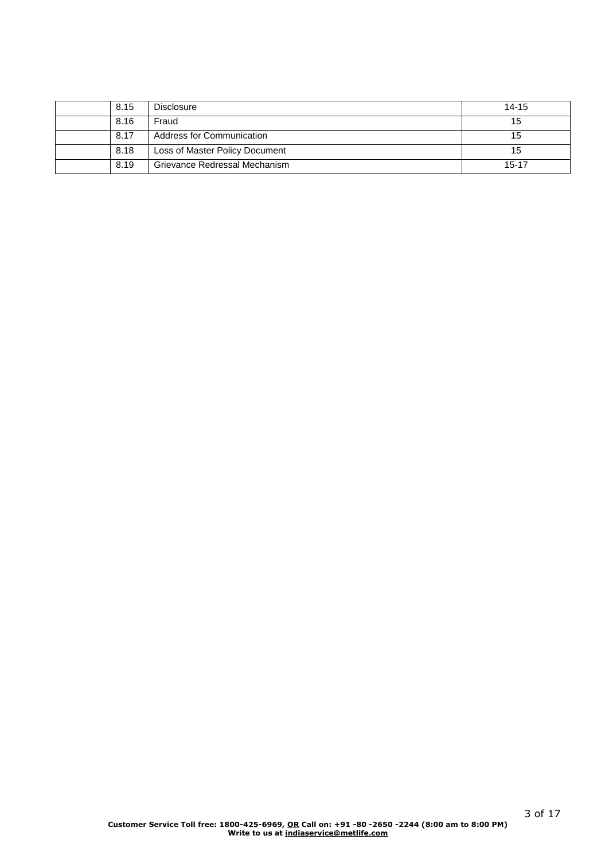| 8.15 | <b>Disclosure</b>              | $14 - 15$ |
|------|--------------------------------|-----------|
| 8.16 | Fraud                          | 15        |
| 8.17 | Address for Communication      | 15        |
| 8.18 | Loss of Master Policy Document | 15        |
| 8.19 | Grievance Redressal Mechanism  | $15 - 17$ |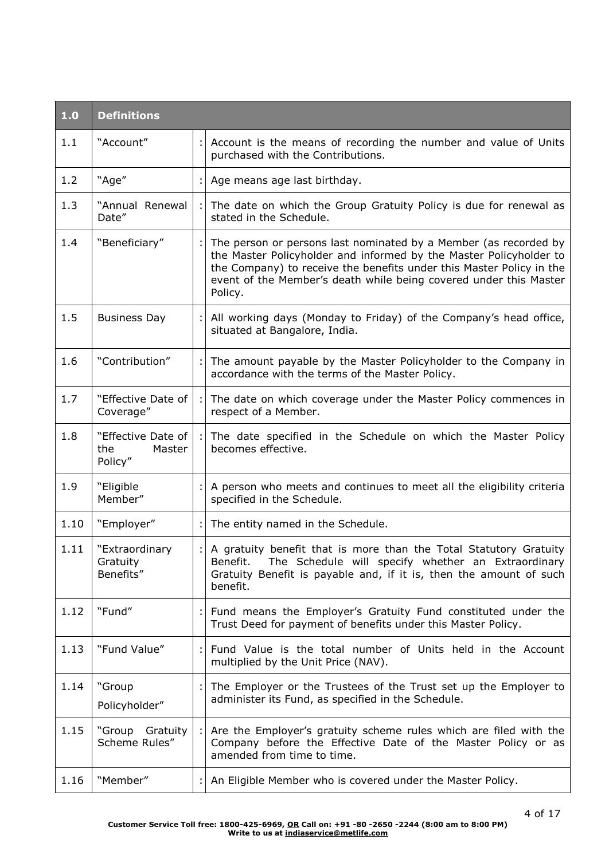| 1.0  | <b>Definitions</b>                             |    |                                                                                                                                                                                                                                                                                                |  |
|------|------------------------------------------------|----|------------------------------------------------------------------------------------------------------------------------------------------------------------------------------------------------------------------------------------------------------------------------------------------------|--|
| 1.1  | "Account"                                      | ÷l | Account is the means of recording the number and value of Units<br>purchased with the Contributions.                                                                                                                                                                                           |  |
| 1.2  | "Age"                                          |    | Age means age last birthday.                                                                                                                                                                                                                                                                   |  |
| 1.3  | "Annual Renewal<br>Date"                       |    | The date on which the Group Gratuity Policy is due for renewal as<br>stated in the Schedule.                                                                                                                                                                                                   |  |
| 1.4  | "Beneficiary"                                  |    | The person or persons last nominated by a Member (as recorded by<br>the Master Policyholder and informed by the Master Policyholder to<br>the Company) to receive the benefits under this Master Policy in the<br>event of the Member's death while being covered under this Master<br>Policy. |  |
| 1.5  | <b>Business Day</b>                            |    | All working days (Monday to Friday) of the Company's head office,<br>situated at Bangalore, India.                                                                                                                                                                                             |  |
| 1.6  | "Contribution"                                 |    | The amount payable by the Master Policyholder to the Company in<br>accordance with the terms of the Master Policy.                                                                                                                                                                             |  |
| 1.7  | "Effective Date of<br>Coverage"                |    | The date on which coverage under the Master Policy commences in<br>respect of a Member.                                                                                                                                                                                                        |  |
| 1.8  | "Effective Date of<br>the<br>Master<br>Policy" |    | The date specified in the Schedule on which the Master Policy<br>becomes effective.                                                                                                                                                                                                            |  |
| 1.9  | "Eligible<br>Member"                           |    | A person who meets and continues to meet all the eligibility criteria<br>specified in the Schedule.                                                                                                                                                                                            |  |
| 1.10 | "Employer"                                     |    | The entity named in the Schedule.                                                                                                                                                                                                                                                              |  |
| 1.11 | "Extraordinary<br>Gratuity<br>Benefits"        |    | A gratuity benefit that is more than the Total Statutory Gratuity<br>Benefit. The Schedule will specify whether an Extraordinary<br>Gratuity Benefit is payable and, if it is, then the amount of such<br>benefit.                                                                             |  |
| 1.12 | "Fund"                                         |    | Fund means the Employer's Gratuity Fund constituted under the<br>Trust Deed for payment of benefits under this Master Policy.                                                                                                                                                                  |  |
| 1.13 | "Fund Value"                                   |    | Fund Value is the total number of Units held in the Account<br>multiplied by the Unit Price (NAV).                                                                                                                                                                                             |  |
| 1.14 | "Group<br>Policyholder"                        |    | The Employer or the Trustees of the Trust set up the Employer to<br>administer its Fund, as specified in the Schedule.                                                                                                                                                                         |  |
| 1.15 | "Group Gratuity<br>Scheme Rules"               |    | Are the Employer's gratuity scheme rules which are filed with the<br>Company before the Effective Date of the Master Policy or as<br>amended from time to time.                                                                                                                                |  |
| 1.16 | "Member"                                       |    | An Eligible Member who is covered under the Master Policy.                                                                                                                                                                                                                                     |  |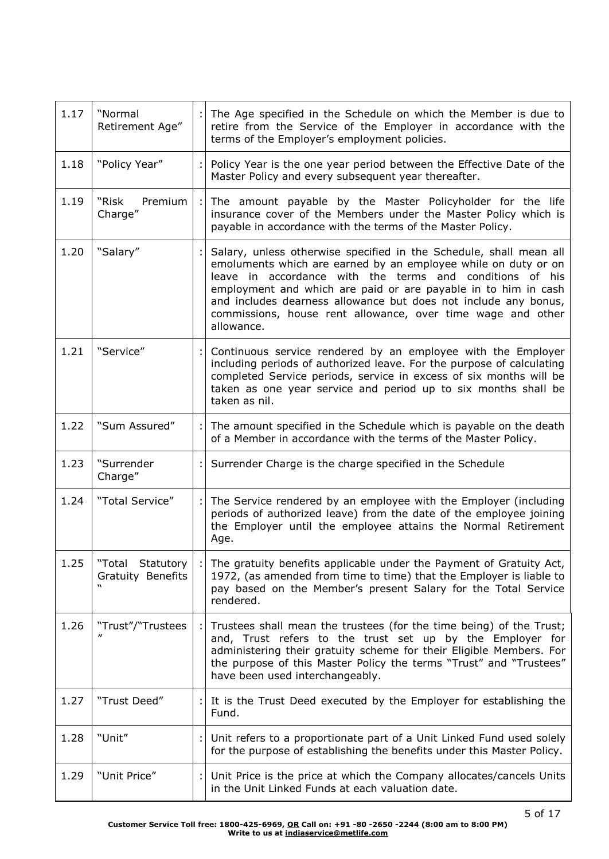| 1.17 | "Normal<br>Retirement Age"               |                                                                                                                                                                                                                                                                                                                  | The Age specified in the Schedule on which the Member is due to<br>retire from the Service of the Employer in accordance with the<br>terms of the Employer's employment policies.                                                                                                                                                                                                                                  |  |  |
|------|------------------------------------------|------------------------------------------------------------------------------------------------------------------------------------------------------------------------------------------------------------------------------------------------------------------------------------------------------------------|--------------------------------------------------------------------------------------------------------------------------------------------------------------------------------------------------------------------------------------------------------------------------------------------------------------------------------------------------------------------------------------------------------------------|--|--|
| 1.18 | "Policy Year"                            |                                                                                                                                                                                                                                                                                                                  | Policy Year is the one year period between the Effective Date of the<br>Master Policy and every subsequent year thereafter.                                                                                                                                                                                                                                                                                        |  |  |
| 1.19 | Premium<br>"Risk<br>Charge"              |                                                                                                                                                                                                                                                                                                                  | The amount payable by the Master Policyholder for the life<br>insurance cover of the Members under the Master Policy which is<br>payable in accordance with the terms of the Master Policy.                                                                                                                                                                                                                        |  |  |
| 1.20 | "Salary"                                 |                                                                                                                                                                                                                                                                                                                  | Salary, unless otherwise specified in the Schedule, shall mean all<br>emoluments which are earned by an employee while on duty or on<br>leave in accordance with the terms and conditions of his<br>employment and which are paid or are payable in to him in cash<br>and includes dearness allowance but does not include any bonus,<br>commissions, house rent allowance, over time wage and other<br>allowance. |  |  |
| 1.21 | "Service"                                |                                                                                                                                                                                                                                                                                                                  | Continuous service rendered by an employee with the Employer<br>including periods of authorized leave. For the purpose of calculating<br>completed Service periods, service in excess of six months will be<br>taken as one year service and period up to six months shall be<br>taken as nil.                                                                                                                     |  |  |
| 1.22 | "Sum Assured"                            |                                                                                                                                                                                                                                                                                                                  | The amount specified in the Schedule which is payable on the death<br>of a Member in accordance with the terms of the Master Policy.                                                                                                                                                                                                                                                                               |  |  |
| 1.23 | "Surrender<br>Charge"                    |                                                                                                                                                                                                                                                                                                                  | Surrender Charge is the charge specified in the Schedule                                                                                                                                                                                                                                                                                                                                                           |  |  |
| 1.24 | "Total Service"<br>Age.                  |                                                                                                                                                                                                                                                                                                                  | The Service rendered by an employee with the Employer (including<br>periods of authorized leave) from the date of the employee joining<br>the Employer until the employee attains the Normal Retirement                                                                                                                                                                                                            |  |  |
| 1.25 | "Total<br>Statutory<br>Gratuity Benefits | The gratuity benefits applicable under the Payment of Gratuity Act,<br>1972, (as amended from time to time) that the Employer is liable to<br>pay based on the Member's present Salary for the Total Service<br>rendered.                                                                                        |                                                                                                                                                                                                                                                                                                                                                                                                                    |  |  |
| 1.26 | "Trust"/"Trustees                        | Trustees shall mean the trustees (for the time being) of the Trust;<br>and, Trust refers to the trust set up by the Employer for<br>administering their gratuity scheme for their Eligible Members. For<br>the purpose of this Master Policy the terms "Trust" and "Trustees"<br>have been used interchangeably. |                                                                                                                                                                                                                                                                                                                                                                                                                    |  |  |
| 1.27 | "Trust Deed"                             |                                                                                                                                                                                                                                                                                                                  | It is the Trust Deed executed by the Employer for establishing the<br>Fund.                                                                                                                                                                                                                                                                                                                                        |  |  |
| 1.28 | "Unit"                                   | Unit refers to a proportionate part of a Unit Linked Fund used solely<br>for the purpose of establishing the benefits under this Master Policy.                                                                                                                                                                  |                                                                                                                                                                                                                                                                                                                                                                                                                    |  |  |
| 1.29 | "Unit Price"                             |                                                                                                                                                                                                                                                                                                                  | Unit Price is the price at which the Company allocates/cancels Units<br>in the Unit Linked Funds at each valuation date.                                                                                                                                                                                                                                                                                           |  |  |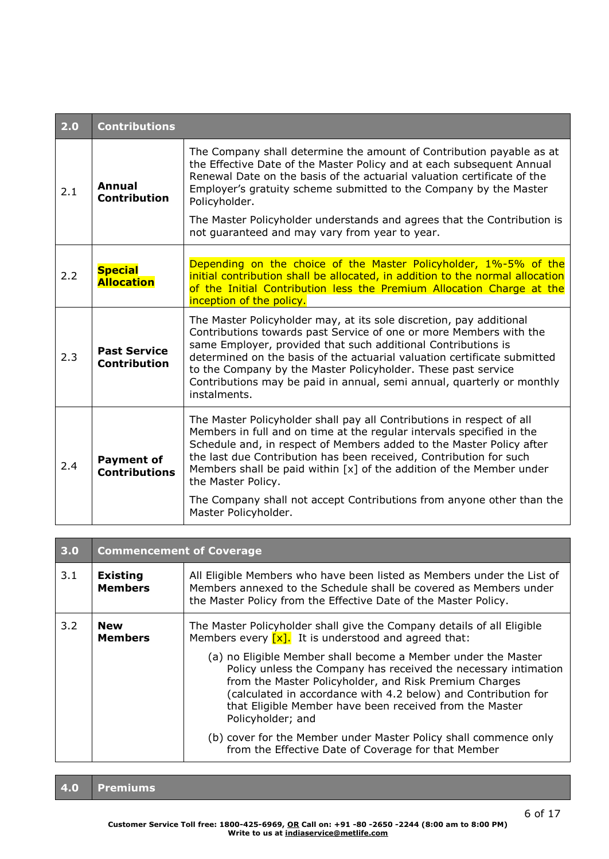| 2.0 | <b>Contributions</b>                       |                                                                                                                                                                                                                                                                                                                                                                                                                                                   |  |  |
|-----|--------------------------------------------|---------------------------------------------------------------------------------------------------------------------------------------------------------------------------------------------------------------------------------------------------------------------------------------------------------------------------------------------------------------------------------------------------------------------------------------------------|--|--|
| 2.1 | Annual<br><b>Contribution</b>              | The Company shall determine the amount of Contribution payable as at<br>the Effective Date of the Master Policy and at each subsequent Annual<br>Renewal Date on the basis of the actuarial valuation certificate of the<br>Employer's gratuity scheme submitted to the Company by the Master<br>Policyholder.                                                                                                                                    |  |  |
|     |                                            | The Master Policyholder understands and agrees that the Contribution is<br>not guaranteed and may vary from year to year.                                                                                                                                                                                                                                                                                                                         |  |  |
| 2.2 | <b>Special</b><br><b>Allocation</b>        | Depending on the choice of the Master Policyholder, 1%-5% of the<br>initial contribution shall be allocated, in addition to the normal allocation<br>of the Initial Contribution less the Premium Allocation Charge at the<br>inception of the policy.                                                                                                                                                                                            |  |  |
| 2.3 | <b>Past Service</b><br><b>Contribution</b> | The Master Policyholder may, at its sole discretion, pay additional<br>Contributions towards past Service of one or more Members with the<br>same Employer, provided that such additional Contributions is<br>determined on the basis of the actuarial valuation certificate submitted<br>to the Company by the Master Policyholder. These past service<br>Contributions may be paid in annual, semi annual, quarterly or monthly<br>instalments. |  |  |
| 2.4 | <b>Payment of</b><br><b>Contributions</b>  | The Master Policyholder shall pay all Contributions in respect of all<br>Members in full and on time at the regular intervals specified in the<br>Schedule and, in respect of Members added to the Master Policy after<br>the last due Contribution has been received, Contribution for such<br>Members shall be paid within $[x]$ of the addition of the Member under<br>the Master Policy.                                                      |  |  |
|     |                                            | The Company shall not accept Contributions from anyone other than the<br>Master Policyholder.                                                                                                                                                                                                                                                                                                                                                     |  |  |

| 3.0                                      | <b>Commencement of Coverage</b>                                                                                                                                                                                                                                                                                                                                                                                                                                                                                                                                                                                          |  |  |  |
|------------------------------------------|--------------------------------------------------------------------------------------------------------------------------------------------------------------------------------------------------------------------------------------------------------------------------------------------------------------------------------------------------------------------------------------------------------------------------------------------------------------------------------------------------------------------------------------------------------------------------------------------------------------------------|--|--|--|
| 3.1<br><b>Existing</b><br><b>Members</b> | All Eligible Members who have been listed as Members under the List of<br>Members annexed to the Schedule shall be covered as Members under<br>the Master Policy from the Effective Date of the Master Policy.                                                                                                                                                                                                                                                                                                                                                                                                           |  |  |  |
| 3.2<br><b>New</b><br><b>Members</b>      | The Master Policyholder shall give the Company details of all Eligible<br>Members every $\lceil x \rceil$ . It is understood and agreed that:<br>(a) no Eligible Member shall become a Member under the Master<br>Policy unless the Company has received the necessary intimation<br>from the Master Policyholder, and Risk Premium Charges<br>(calculated in accordance with 4.2 below) and Contribution for<br>that Eligible Member have been received from the Master<br>Policyholder; and<br>(b) cover for the Member under Master Policy shall commence only<br>from the Effective Date of Coverage for that Member |  |  |  |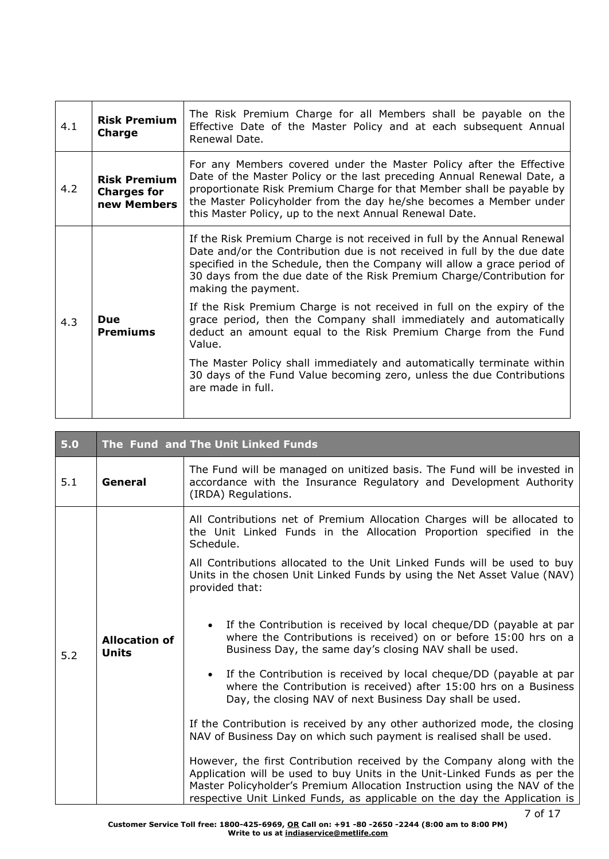| 4.1 | <b>Risk Premium</b><br>Charge                            | The Risk Premium Charge for all Members shall be payable on the<br>Effective Date of the Master Policy and at each subsequent Annual<br>Renewal Date.                                                                                                                                                                                                   |
|-----|----------------------------------------------------------|---------------------------------------------------------------------------------------------------------------------------------------------------------------------------------------------------------------------------------------------------------------------------------------------------------------------------------------------------------|
| 4.2 | <b>Risk Premium</b><br><b>Charges for</b><br>new Members | For any Members covered under the Master Policy after the Effective<br>Date of the Master Policy or the last preceding Annual Renewal Date, a<br>proportionate Risk Premium Charge for that Member shall be payable by<br>the Master Policyholder from the day he/she becomes a Member under<br>this Master Policy, up to the next Annual Renewal Date. |
| 4.3 |                                                          | If the Risk Premium Charge is not received in full by the Annual Renewal<br>Date and/or the Contribution due is not received in full by the due date<br>specified in the Schedule, then the Company will allow a grace period of<br>30 days from the due date of the Risk Premium Charge/Contribution for<br>making the payment.                        |
|     | <b>Due</b><br>Premiums                                   | If the Risk Premium Charge is not received in full on the expiry of the<br>grace period, then the Company shall immediately and automatically<br>deduct an amount equal to the Risk Premium Charge from the Fund<br>Value.                                                                                                                              |
|     |                                                          | The Master Policy shall immediately and automatically terminate within<br>30 days of the Fund Value becoming zero, unless the due Contributions<br>are made in full.                                                                                                                                                                                    |

T

| 5.0 | The Fund and The Unit Linked Funds |                                                                                                                                                                                                                                                                                                                                                                                                                                                                                                                                                                                                                                             |  |  |  |
|-----|------------------------------------|---------------------------------------------------------------------------------------------------------------------------------------------------------------------------------------------------------------------------------------------------------------------------------------------------------------------------------------------------------------------------------------------------------------------------------------------------------------------------------------------------------------------------------------------------------------------------------------------------------------------------------------------|--|--|--|
| 5.1 | General                            | The Fund will be managed on unitized basis. The Fund will be invested in<br>accordance with the Insurance Regulatory and Development Authority<br>(IRDA) Regulations.                                                                                                                                                                                                                                                                                                                                                                                                                                                                       |  |  |  |
| 5.2 | <b>Allocation of</b><br>Units      | All Contributions net of Premium Allocation Charges will be allocated to<br>the Unit Linked Funds in the Allocation Proportion specified in the<br>Schedule.<br>All Contributions allocated to the Unit Linked Funds will be used to buy<br>Units in the chosen Unit Linked Funds by using the Net Asset Value (NAV)<br>provided that:<br>If the Contribution is received by local cheque/DD (payable at par<br>$\bullet$<br>where the Contributions is received) on or before 15:00 hrs on a<br>Business Day, the same day's closing NAV shall be used.<br>If the Contribution is received by local cheque/DD (payable at par<br>$\bullet$ |  |  |  |
|     |                                    | where the Contribution is received) after 15:00 hrs on a Business<br>Day, the closing NAV of next Business Day shall be used.<br>If the Contribution is received by any other authorized mode, the closing<br>NAV of Business Day on which such payment is realised shall be used.<br>However, the first Contribution received by the Company along with the<br>Application will be used to buy Units in the Unit-Linked Funds as per the<br>Master Policyholder's Premium Allocation Instruction using the NAV of the<br>respective Unit Linked Funds, as applicable on the day the Application is                                         |  |  |  |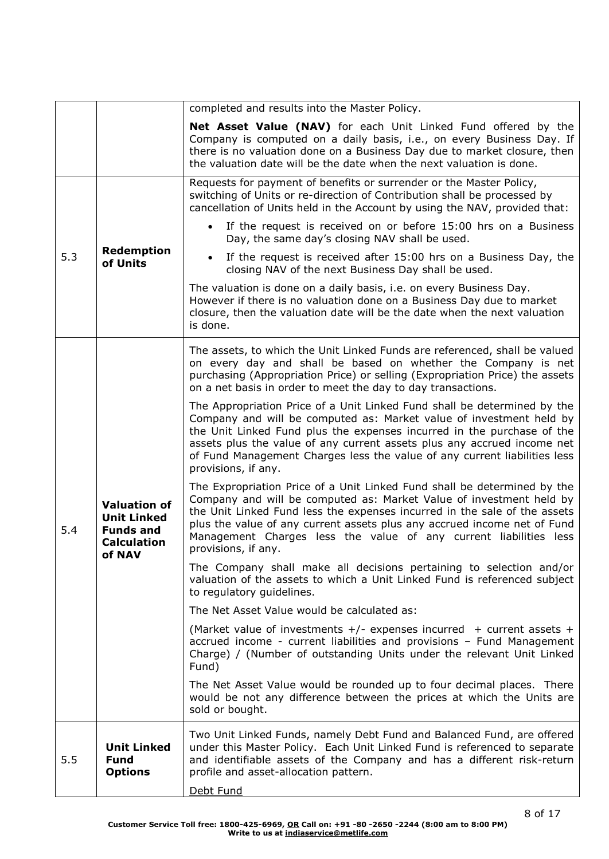|     |                                                                                               | completed and results into the Master Policy.                                                                                                                                                                                                                                                                                                                                                            |  |  |
|-----|-----------------------------------------------------------------------------------------------|----------------------------------------------------------------------------------------------------------------------------------------------------------------------------------------------------------------------------------------------------------------------------------------------------------------------------------------------------------------------------------------------------------|--|--|
|     |                                                                                               | Net Asset Value (NAV) for each Unit Linked Fund offered by the<br>Company is computed on a daily basis, i.e., on every Business Day. If<br>there is no valuation done on a Business Day due to market closure, then<br>the valuation date will be the date when the next valuation is done.                                                                                                              |  |  |
|     |                                                                                               | Requests for payment of benefits or surrender or the Master Policy,<br>switching of Units or re-direction of Contribution shall be processed by<br>cancellation of Units held in the Account by using the NAV, provided that:                                                                                                                                                                            |  |  |
|     |                                                                                               | If the request is received on or before 15:00 hrs on a Business<br>Day, the same day's closing NAV shall be used.                                                                                                                                                                                                                                                                                        |  |  |
| 5.3 | <b>Redemption</b><br>of Units                                                                 | If the request is received after 15:00 hrs on a Business Day, the<br>closing NAV of the next Business Day shall be used.                                                                                                                                                                                                                                                                                 |  |  |
|     |                                                                                               | The valuation is done on a daily basis, i.e. on every Business Day.<br>However if there is no valuation done on a Business Day due to market<br>closure, then the valuation date will be the date when the next valuation<br>is done.                                                                                                                                                                    |  |  |
|     |                                                                                               | The assets, to which the Unit Linked Funds are referenced, shall be valued<br>on every day and shall be based on whether the Company is net<br>purchasing (Appropriation Price) or selling (Expropriation Price) the assets<br>on a net basis in order to meet the day to day transactions.                                                                                                              |  |  |
|     | <b>Valuation of</b><br><b>Unit Linked</b><br><b>Funds and</b><br><b>Calculation</b><br>of NAV | The Appropriation Price of a Unit Linked Fund shall be determined by the<br>Company and will be computed as: Market value of investment held by<br>the Unit Linked Fund plus the expenses incurred in the purchase of the<br>assets plus the value of any current assets plus any accrued income net<br>of Fund Management Charges less the value of any current liabilities less<br>provisions, if any. |  |  |
| 5.4 |                                                                                               | The Expropriation Price of a Unit Linked Fund shall be determined by the<br>Company and will be computed as: Market Value of investment held by<br>the Unit Linked Fund less the expenses incurred in the sale of the assets<br>plus the value of any current assets plus any accrued income net of Fund<br>Management Charges less the value of any current liabilities less<br>provisions, if any.     |  |  |
|     |                                                                                               | The Company shall make all decisions pertaining to selection and/or<br>valuation of the assets to which a Unit Linked Fund is referenced subject<br>to regulatory guidelines.                                                                                                                                                                                                                            |  |  |
|     |                                                                                               | The Net Asset Value would be calculated as:                                                                                                                                                                                                                                                                                                                                                              |  |  |
|     |                                                                                               | (Market value of investments $+/-$ expenses incurred $+$ current assets $+$<br>accrued income - current liabilities and provisions - Fund Management<br>Charge) / (Number of outstanding Units under the relevant Unit Linked<br>Fund)                                                                                                                                                                   |  |  |
|     |                                                                                               | The Net Asset Value would be rounded up to four decimal places. There<br>would be not any difference between the prices at which the Units are<br>sold or bought.                                                                                                                                                                                                                                        |  |  |
| 5.5 | <b>Unit Linked</b><br><b>Fund</b><br><b>Options</b>                                           | Two Unit Linked Funds, namely Debt Fund and Balanced Fund, are offered<br>under this Master Policy. Each Unit Linked Fund is referenced to separate<br>and identifiable assets of the Company and has a different risk-return<br>profile and asset-allocation pattern.<br>Debt Fund                                                                                                                      |  |  |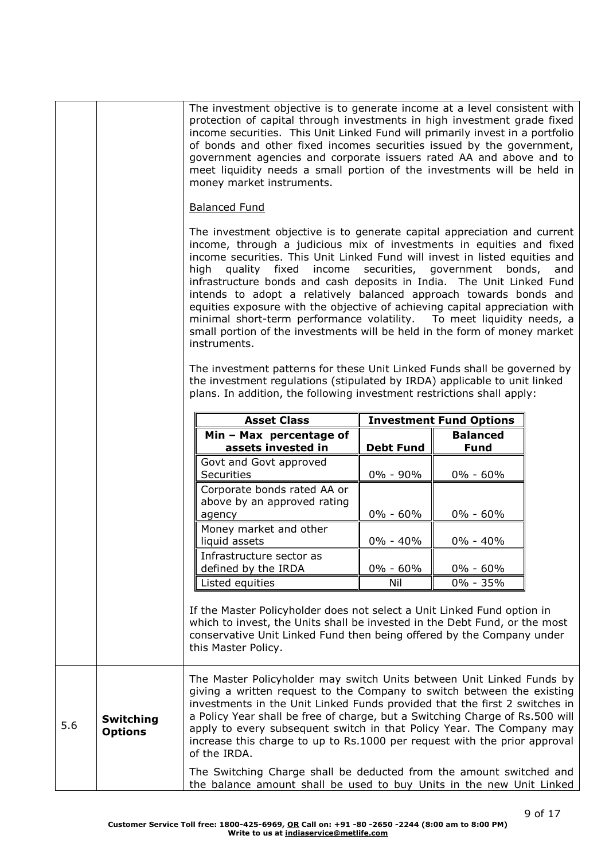|     |                                    | The investment objective is to generate income at a level consistent with<br>money market instruments.<br><b>Balanced Fund</b><br>high                                                                                                                                                                                                                                                                                                                                                                                                                     | protection of capital through investments in high investment grade fixed<br>income securities. This Unit Linked Fund will primarily invest in a portfolio<br>of bonds and other fixed incomes securities issued by the government,<br>government agencies and corporate issuers rated AA and above and to<br>meet liquidity needs a small portion of the investments will be held in<br>The investment objective is to generate capital appreciation and current<br>income, through a judicious mix of investments in equities and fixed<br>income securities. This Unit Linked Fund will invest in listed equities and<br>quality fixed income securities, government bonds, and<br>infrastructure bonds and cash deposits in India. The Unit Linked Fund<br>intends to adopt a relatively balanced approach towards bonds and<br>equities exposure with the objective of achieving capital appreciation with<br>minimal short-term performance volatility. To meet liquidity needs, a<br>small portion of the investments will be held in the form of money market |                                |  |
|-----|------------------------------------|------------------------------------------------------------------------------------------------------------------------------------------------------------------------------------------------------------------------------------------------------------------------------------------------------------------------------------------------------------------------------------------------------------------------------------------------------------------------------------------------------------------------------------------------------------|----------------------------------------------------------------------------------------------------------------------------------------------------------------------------------------------------------------------------------------------------------------------------------------------------------------------------------------------------------------------------------------------------------------------------------------------------------------------------------------------------------------------------------------------------------------------------------------------------------------------------------------------------------------------------------------------------------------------------------------------------------------------------------------------------------------------------------------------------------------------------------------------------------------------------------------------------------------------------------------------------------------------------------------------------------------------|--------------------------------|--|
|     |                                    | instruments.<br>The investment patterns for these Unit Linked Funds shall be governed by<br>the investment regulations (stipulated by IRDA) applicable to unit linked<br>plans. In addition, the following investment restrictions shall apply:                                                                                                                                                                                                                                                                                                            |                                                                                                                                                                                                                                                                                                                                                                                                                                                                                                                                                                                                                                                                                                                                                                                                                                                                                                                                                                                                                                                                      |                                |  |
|     |                                    | <b>Asset Class</b>                                                                                                                                                                                                                                                                                                                                                                                                                                                                                                                                         |                                                                                                                                                                                                                                                                                                                                                                                                                                                                                                                                                                                                                                                                                                                                                                                                                                                                                                                                                                                                                                                                      | <b>Investment Fund Options</b> |  |
|     |                                    | Min - Max percentage of                                                                                                                                                                                                                                                                                                                                                                                                                                                                                                                                    |                                                                                                                                                                                                                                                                                                                                                                                                                                                                                                                                                                                                                                                                                                                                                                                                                                                                                                                                                                                                                                                                      | <b>Balanced</b>                |  |
|     |                                    | assets invested in                                                                                                                                                                                                                                                                                                                                                                                                                                                                                                                                         | <b>Debt Fund</b>                                                                                                                                                                                                                                                                                                                                                                                                                                                                                                                                                                                                                                                                                                                                                                                                                                                                                                                                                                                                                                                     | <b>Fund</b>                    |  |
|     |                                    | Govt and Govt approved<br><b>Securities</b>                                                                                                                                                                                                                                                                                                                                                                                                                                                                                                                | 0% - 90%                                                                                                                                                                                                                                                                                                                                                                                                                                                                                                                                                                                                                                                                                                                                                                                                                                                                                                                                                                                                                                                             | $0\% - 60\%$                   |  |
|     |                                    | Corporate bonds rated AA or<br>above by an approved rating<br>agency                                                                                                                                                                                                                                                                                                                                                                                                                                                                                       | $0\% - 60\%$                                                                                                                                                                                                                                                                                                                                                                                                                                                                                                                                                                                                                                                                                                                                                                                                                                                                                                                                                                                                                                                         | $0\% - 60\%$                   |  |
|     |                                    | Money market and other<br>liquid assets                                                                                                                                                                                                                                                                                                                                                                                                                                                                                                                    | $0\% - 40\%$                                                                                                                                                                                                                                                                                                                                                                                                                                                                                                                                                                                                                                                                                                                                                                                                                                                                                                                                                                                                                                                         | $0\% - 40\%$                   |  |
|     |                                    | Infrastructure sector as<br>defined by the IRDA                                                                                                                                                                                                                                                                                                                                                                                                                                                                                                            | 0% - 60%                                                                                                                                                                                                                                                                                                                                                                                                                                                                                                                                                                                                                                                                                                                                                                                                                                                                                                                                                                                                                                                             | 0% - 60%                       |  |
|     |                                    | Listed equities                                                                                                                                                                                                                                                                                                                                                                                                                                                                                                                                            | Nil                                                                                                                                                                                                                                                                                                                                                                                                                                                                                                                                                                                                                                                                                                                                                                                                                                                                                                                                                                                                                                                                  | 0% - 35%                       |  |
|     |                                    | If the Master Policyholder does not select a Unit Linked Fund option in<br>which to invest, the Units shall be invested in the Debt Fund, or the most<br>conservative Unit Linked Fund then being offered by the Company under<br>this Master Policy.                                                                                                                                                                                                                                                                                                      |                                                                                                                                                                                                                                                                                                                                                                                                                                                                                                                                                                                                                                                                                                                                                                                                                                                                                                                                                                                                                                                                      |                                |  |
| 5.6 | <b>Switching</b><br><b>Options</b> | The Master Policyholder may switch Units between Unit Linked Funds by<br>giving a written request to the Company to switch between the existing<br>investments in the Unit Linked Funds provided that the first 2 switches in<br>a Policy Year shall be free of charge, but a Switching Charge of Rs.500 will<br>apply to every subsequent switch in that Policy Year. The Company may<br>increase this charge to up to Rs.1000 per request with the prior approval<br>of the IRDA.<br>The Switching Charge shall be deducted from the amount switched and |                                                                                                                                                                                                                                                                                                                                                                                                                                                                                                                                                                                                                                                                                                                                                                                                                                                                                                                                                                                                                                                                      |                                |  |
|     |                                    | the balance amount shall be used to buy Units in the new Unit Linked                                                                                                                                                                                                                                                                                                                                                                                                                                                                                       |                                                                                                                                                                                                                                                                                                                                                                                                                                                                                                                                                                                                                                                                                                                                                                                                                                                                                                                                                                                                                                                                      |                                |  |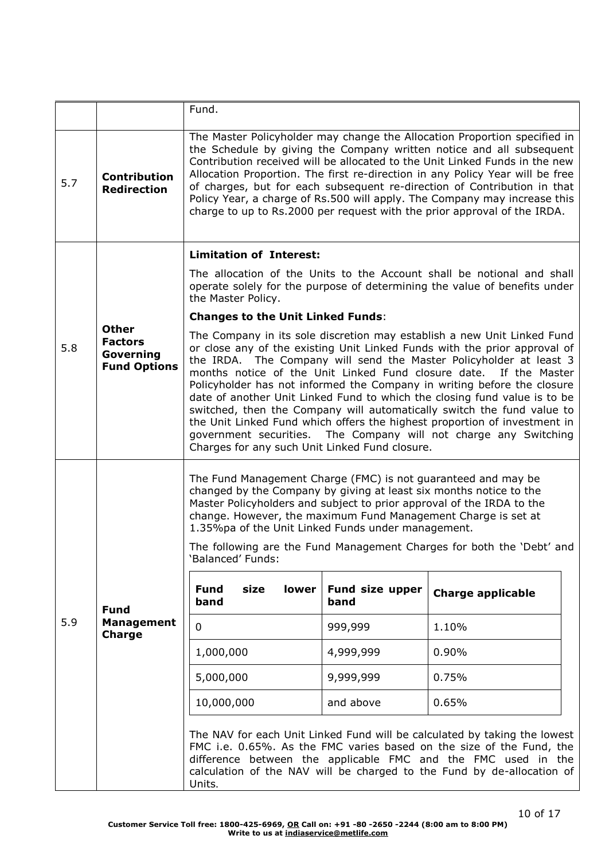|     |                                                                    | Fund.                                                                                                                                                                                                                                                                                                                                                                                                                                                                                                                                                  |                         |                                                                                                                                                                                                                                                                                                                                                                                                                                                                                                                                                                                                                                                                                    |  |
|-----|--------------------------------------------------------------------|--------------------------------------------------------------------------------------------------------------------------------------------------------------------------------------------------------------------------------------------------------------------------------------------------------------------------------------------------------------------------------------------------------------------------------------------------------------------------------------------------------------------------------------------------------|-------------------------|------------------------------------------------------------------------------------------------------------------------------------------------------------------------------------------------------------------------------------------------------------------------------------------------------------------------------------------------------------------------------------------------------------------------------------------------------------------------------------------------------------------------------------------------------------------------------------------------------------------------------------------------------------------------------------|--|
| 5.7 | <b>Contribution</b><br><b>Redirection</b>                          | The Master Policyholder may change the Allocation Proportion specified in<br>the Schedule by giving the Company written notice and all subsequent<br>Contribution received will be allocated to the Unit Linked Funds in the new<br>Allocation Proportion. The first re-direction in any Policy Year will be free<br>of charges, but for each subsequent re-direction of Contribution in that<br>Policy Year, a charge of Rs.500 will apply. The Company may increase this<br>charge to up to Rs.2000 per request with the prior approval of the IRDA. |                         |                                                                                                                                                                                                                                                                                                                                                                                                                                                                                                                                                                                                                                                                                    |  |
|     |                                                                    | <b>Limitation of Interest:</b>                                                                                                                                                                                                                                                                                                                                                                                                                                                                                                                         |                         |                                                                                                                                                                                                                                                                                                                                                                                                                                                                                                                                                                                                                                                                                    |  |
|     |                                                                    | the Master Policy.                                                                                                                                                                                                                                                                                                                                                                                                                                                                                                                                     |                         | The allocation of the Units to the Account shall be notional and shall<br>operate solely for the purpose of determining the value of benefits under                                                                                                                                                                                                                                                                                                                                                                                                                                                                                                                                |  |
|     |                                                                    | <b>Changes to the Unit Linked Funds:</b>                                                                                                                                                                                                                                                                                                                                                                                                                                                                                                               |                         |                                                                                                                                                                                                                                                                                                                                                                                                                                                                                                                                                                                                                                                                                    |  |
| 5.8 | <b>Other</b><br><b>Factors</b><br>Governing<br><b>Fund Options</b> | Charges for any such Unit Linked Fund closure.                                                                                                                                                                                                                                                                                                                                                                                                                                                                                                         |                         | The Company in its sole discretion may establish a new Unit Linked Fund<br>or close any of the existing Unit Linked Funds with the prior approval of<br>the IRDA. The Company will send the Master Policyholder at least 3<br>months notice of the Unit Linked Fund closure date. If the Master<br>Policyholder has not informed the Company in writing before the closure<br>date of another Unit Linked Fund to which the closing fund value is to be<br>switched, then the Company will automatically switch the fund value to<br>the Unit Linked Fund which offers the highest proportion of investment in<br>government securities. The Company will not charge any Switching |  |
|     |                                                                    | The Fund Management Charge (FMC) is not guaranteed and may be<br>changed by the Company by giving at least six months notice to the<br>Master Policyholders and subject to prior approval of the IRDA to the<br>change. However, the maximum Fund Management Charge is set at<br>1.35%pa of the Unit Linked Funds under management.<br>'Balanced' Funds:                                                                                                                                                                                               |                         | The following are the Fund Management Charges for both the 'Debt' and                                                                                                                                                                                                                                                                                                                                                                                                                                                                                                                                                                                                              |  |
|     |                                                                    | <b>Fund</b><br>size<br>lower<br>band                                                                                                                                                                                                                                                                                                                                                                                                                                                                                                                   | Fund size upper<br>band | <b>Charge applicable</b>                                                                                                                                                                                                                                                                                                                                                                                                                                                                                                                                                                                                                                                           |  |
| 5.9 | <b>Fund</b><br><b>Management</b><br><b>Charge</b>                  | $\mathbf 0$                                                                                                                                                                                                                                                                                                                                                                                                                                                                                                                                            | 999,999                 | 1.10%                                                                                                                                                                                                                                                                                                                                                                                                                                                                                                                                                                                                                                                                              |  |
|     |                                                                    | 1,000,000                                                                                                                                                                                                                                                                                                                                                                                                                                                                                                                                              | 4,999,999               | 0.90%                                                                                                                                                                                                                                                                                                                                                                                                                                                                                                                                                                                                                                                                              |  |
|     |                                                                    | 5,000,000                                                                                                                                                                                                                                                                                                                                                                                                                                                                                                                                              | 9,999,999               | 0.75%                                                                                                                                                                                                                                                                                                                                                                                                                                                                                                                                                                                                                                                                              |  |
|     |                                                                    | 10,000,000                                                                                                                                                                                                                                                                                                                                                                                                                                                                                                                                             | and above               | 0.65%                                                                                                                                                                                                                                                                                                                                                                                                                                                                                                                                                                                                                                                                              |  |
|     |                                                                    | Units.                                                                                                                                                                                                                                                                                                                                                                                                                                                                                                                                                 |                         | The NAV for each Unit Linked Fund will be calculated by taking the lowest<br>FMC i.e. 0.65%. As the FMC varies based on the size of the Fund, the<br>difference between the applicable FMC and the FMC used in the<br>calculation of the NAV will be charged to the Fund by de-allocation of                                                                                                                                                                                                                                                                                                                                                                                       |  |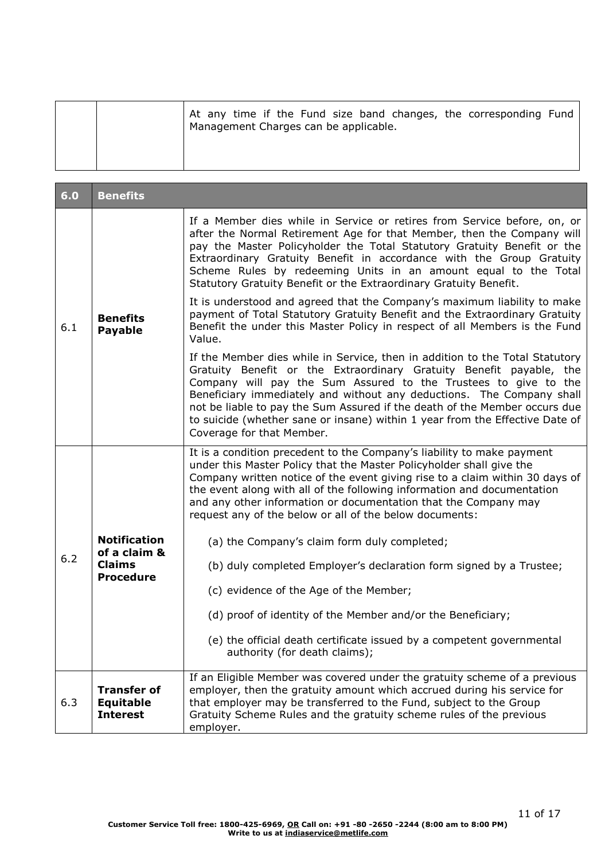| At any time if the Fund size band changes, the corresponding Fund<br>Management Charges can be applicable. |
|------------------------------------------------------------------------------------------------------------|
|                                                                                                            |

| 6.0 | <b>Benefits</b>                                                          |                                                                                                                                                                                                                                                                                                                                                                                                                                                                                            |
|-----|--------------------------------------------------------------------------|--------------------------------------------------------------------------------------------------------------------------------------------------------------------------------------------------------------------------------------------------------------------------------------------------------------------------------------------------------------------------------------------------------------------------------------------------------------------------------------------|
| 6.1 | <b>Benefits</b><br><b>Payable</b>                                        | If a Member dies while in Service or retires from Service before, on, or<br>after the Normal Retirement Age for that Member, then the Company will<br>pay the Master Policyholder the Total Statutory Gratuity Benefit or the<br>Extraordinary Gratuity Benefit in accordance with the Group Gratuity<br>Scheme Rules by redeeming Units in an amount equal to the Total<br>Statutory Gratuity Benefit or the Extraordinary Gratuity Benefit.                                              |
|     |                                                                          | It is understood and agreed that the Company's maximum liability to make<br>payment of Total Statutory Gratuity Benefit and the Extraordinary Gratuity<br>Benefit the under this Master Policy in respect of all Members is the Fund<br>Value.                                                                                                                                                                                                                                             |
|     |                                                                          | If the Member dies while in Service, then in addition to the Total Statutory<br>Gratuity Benefit or the Extraordinary Gratuity Benefit payable, the<br>Company will pay the Sum Assured to the Trustees to give to the<br>Beneficiary immediately and without any deductions. The Company shall<br>not be liable to pay the Sum Assured if the death of the Member occurs due<br>to suicide (whether sane or insane) within 1 year from the Effective Date of<br>Coverage for that Member. |
| 6.2 | <b>Notification</b><br>of a claim &<br><b>Claims</b><br><b>Procedure</b> | It is a condition precedent to the Company's liability to make payment<br>under this Master Policy that the Master Policyholder shall give the<br>Company written notice of the event giving rise to a claim within 30 days of<br>the event along with all of the following information and documentation<br>and any other information or documentation that the Company may<br>request any of the below or all of the below documents:                                                    |
|     |                                                                          | (a) the Company's claim form duly completed;                                                                                                                                                                                                                                                                                                                                                                                                                                               |
|     |                                                                          | (b) duly completed Employer's declaration form signed by a Trustee;                                                                                                                                                                                                                                                                                                                                                                                                                        |
|     |                                                                          | (c) evidence of the Age of the Member;                                                                                                                                                                                                                                                                                                                                                                                                                                                     |
|     |                                                                          | (d) proof of identity of the Member and/or the Beneficiary;                                                                                                                                                                                                                                                                                                                                                                                                                                |
|     |                                                                          | (e) the official death certificate issued by a competent governmental<br>authority (for death claims);                                                                                                                                                                                                                                                                                                                                                                                     |
| 6.3 | <b>Transfer of</b><br><b>Equitable</b><br><b>Interest</b>                | If an Eligible Member was covered under the gratuity scheme of a previous<br>employer, then the gratuity amount which accrued during his service for<br>that employer may be transferred to the Fund, subject to the Group<br>Gratuity Scheme Rules and the gratuity scheme rules of the previous<br>employer.                                                                                                                                                                             |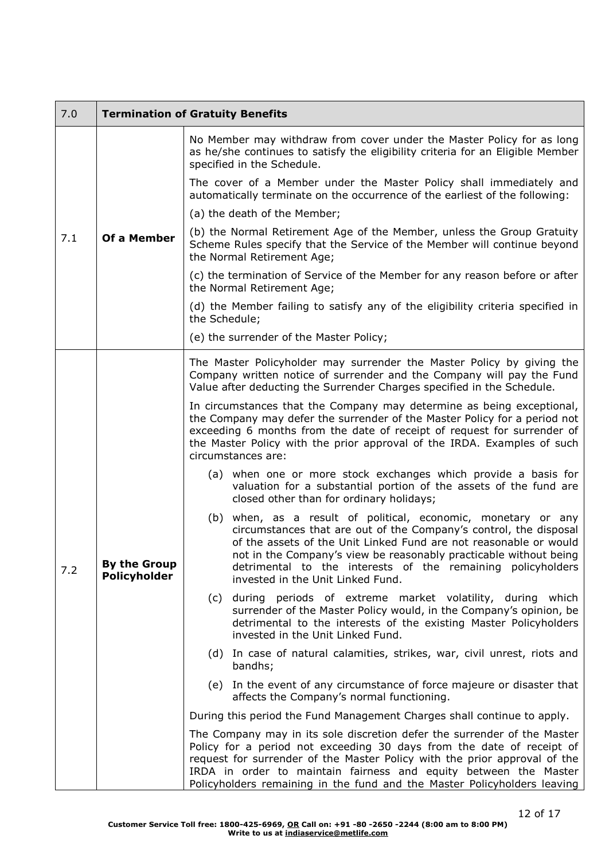| 7.0 | <b>Termination of Gratuity Benefits</b> |                                                                                                                                                                                                                                                                                                                                                                                  |
|-----|-----------------------------------------|----------------------------------------------------------------------------------------------------------------------------------------------------------------------------------------------------------------------------------------------------------------------------------------------------------------------------------------------------------------------------------|
|     |                                         | No Member may withdraw from cover under the Master Policy for as long<br>as he/she continues to satisfy the eligibility criteria for an Eligible Member<br>specified in the Schedule.                                                                                                                                                                                            |
|     |                                         | The cover of a Member under the Master Policy shall immediately and<br>automatically terminate on the occurrence of the earliest of the following:                                                                                                                                                                                                                               |
|     |                                         | (a) the death of the Member;                                                                                                                                                                                                                                                                                                                                                     |
| 7.1 | Of a Member                             | (b) the Normal Retirement Age of the Member, unless the Group Gratuity<br>Scheme Rules specify that the Service of the Member will continue beyond<br>the Normal Retirement Age;                                                                                                                                                                                                 |
|     |                                         | (c) the termination of Service of the Member for any reason before or after<br>the Normal Retirement Age;                                                                                                                                                                                                                                                                        |
|     |                                         | (d) the Member failing to satisfy any of the eligibility criteria specified in<br>the Schedule;                                                                                                                                                                                                                                                                                  |
|     |                                         | (e) the surrender of the Master Policy;                                                                                                                                                                                                                                                                                                                                          |
|     |                                         | The Master Policyholder may surrender the Master Policy by giving the<br>Company written notice of surrender and the Company will pay the Fund<br>Value after deducting the Surrender Charges specified in the Schedule.                                                                                                                                                         |
|     |                                         | In circumstances that the Company may determine as being exceptional,<br>the Company may defer the surrender of the Master Policy for a period not<br>exceeding 6 months from the date of receipt of request for surrender of<br>the Master Policy with the prior approval of the IRDA. Examples of such<br>circumstances are:                                                   |
|     |                                         | (a) when one or more stock exchanges which provide a basis for<br>valuation for a substantial portion of the assets of the fund are<br>closed other than for ordinary holidays;                                                                                                                                                                                                  |
| 7.2 | ву tne Group<br>Policyholder            | (b) when, as a result of political, economic, monetary or any<br>circumstances that are out of the Company's control, the disposal<br>of the assets of the Unit Linked Fund are not reasonable or would<br>not in the Company's view be reasonably practicable without being<br>detrimental to the interests of the remaining policyholders<br>invested in the Unit Linked Fund. |
|     |                                         | (c) during periods of extreme market volatility, during which<br>surrender of the Master Policy would, in the Company's opinion, be<br>detrimental to the interests of the existing Master Policyholders<br>invested in the Unit Linked Fund.                                                                                                                                    |
|     |                                         | (d) In case of natural calamities, strikes, war, civil unrest, riots and<br>bandhs;                                                                                                                                                                                                                                                                                              |
|     |                                         | (e) In the event of any circumstance of force majeure or disaster that<br>affects the Company's normal functioning.                                                                                                                                                                                                                                                              |
|     |                                         | During this period the Fund Management Charges shall continue to apply.                                                                                                                                                                                                                                                                                                          |
|     |                                         | The Company may in its sole discretion defer the surrender of the Master<br>Policy for a period not exceeding 30 days from the date of receipt of<br>request for surrender of the Master Policy with the prior approval of the<br>IRDA in order to maintain fairness and equity between the Master<br>Policyholders remaining in the fund and the Master Policyholders leaving   |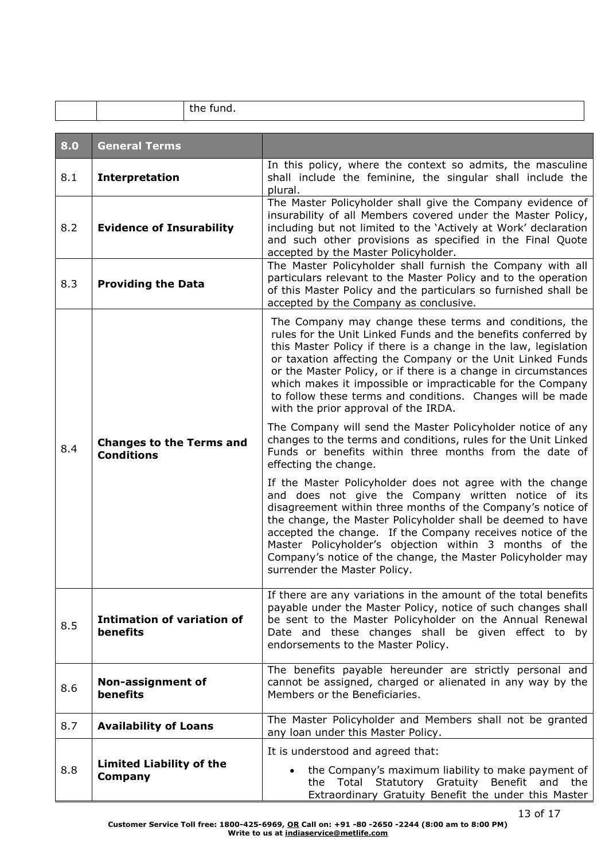|     | the fund.                                            |                                                                                                                                                                                                                                                                                                                                                                                                                                                                                                |
|-----|------------------------------------------------------|------------------------------------------------------------------------------------------------------------------------------------------------------------------------------------------------------------------------------------------------------------------------------------------------------------------------------------------------------------------------------------------------------------------------------------------------------------------------------------------------|
| 8.0 | <b>General Terms</b>                                 |                                                                                                                                                                                                                                                                                                                                                                                                                                                                                                |
| 8.1 | <b>Interpretation</b>                                | In this policy, where the context so admits, the masculine<br>shall include the feminine, the singular shall include the<br>plural.                                                                                                                                                                                                                                                                                                                                                            |
| 8.2 | <b>Evidence of Insurability</b>                      | The Master Policyholder shall give the Company evidence of<br>insurability of all Members covered under the Master Policy,<br>including but not limited to the 'Actively at Work' declaration<br>and such other provisions as specified in the Final Quote<br>accepted by the Master Policyholder.                                                                                                                                                                                             |
| 8.3 | <b>Providing the Data</b>                            | The Master Policyholder shall furnish the Company with all<br>particulars relevant to the Master Policy and to the operation<br>of this Master Policy and the particulars so furnished shall be<br>accepted by the Company as conclusive.                                                                                                                                                                                                                                                      |
|     |                                                      | The Company may change these terms and conditions, the<br>rules for the Unit Linked Funds and the benefits conferred by<br>this Master Policy if there is a change in the law, legislation<br>or taxation affecting the Company or the Unit Linked Funds<br>or the Master Policy, or if there is a change in circumstances<br>which makes it impossible or impracticable for the Company<br>to follow these terms and conditions. Changes will be made<br>with the prior approval of the IRDA. |
| 8.4 | <b>Changes to the Terms and</b><br><b>Conditions</b> | The Company will send the Master Policyholder notice of any<br>changes to the terms and conditions, rules for the Unit Linked<br>Funds or benefits within three months from the date of<br>effecting the change.                                                                                                                                                                                                                                                                               |
|     |                                                      | If the Master Policyholder does not agree with the change<br>and does not give the Company written notice of its<br>disagreement within three months of the Company's notice of<br>the change, the Master Policyholder shall be deemed to have<br>accepted the change. If the Company receives notice of the<br>Master Policyholder's objection within 3 months of the<br>Company's notice of the change, the Master Policyholder may<br>surrender the Master Policy.                          |
| 8.5 | <b>Intimation of variation of</b><br>benefits        | If there are any variations in the amount of the total benefits<br>payable under the Master Policy, notice of such changes shall<br>be sent to the Master Policyholder on the Annual Renewal<br>Date and these changes shall be given effect to by<br>endorsements to the Master Policy.                                                                                                                                                                                                       |
| 8.6 | Non-assignment of<br>benefits                        | The benefits payable hereunder are strictly personal and<br>cannot be assigned, charged or alienated in any way by the<br>Members or the Beneficiaries.                                                                                                                                                                                                                                                                                                                                        |
| 8.7 | <b>Availability of Loans</b>                         | The Master Policyholder and Members shall not be granted<br>any loan under this Master Policy.                                                                                                                                                                                                                                                                                                                                                                                                 |
| 8.8 | <b>Limited Liability of the</b><br><b>Company</b>    | It is understood and agreed that:<br>the Company's maximum liability to make payment of<br>$\bullet$<br>the Total Statutory Gratuity Benefit and<br>the<br>Extraordinary Gratuity Benefit the under this Master                                                                                                                                                                                                                                                                                |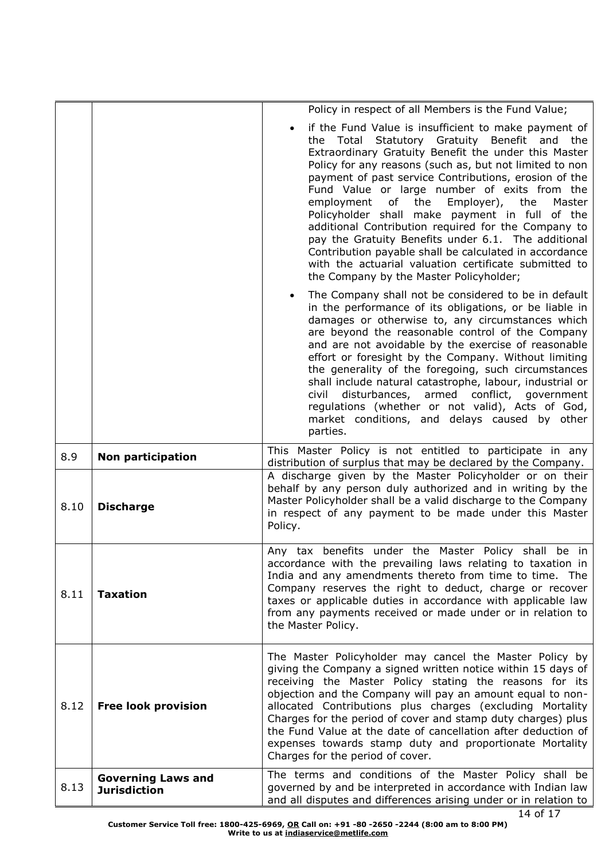|      |                                                  | Policy in respect of all Members is the Fund Value;                                                                                                                                                                                                                                                                                                                                                                                                                                                                                                                                                                                                                                                                |
|------|--------------------------------------------------|--------------------------------------------------------------------------------------------------------------------------------------------------------------------------------------------------------------------------------------------------------------------------------------------------------------------------------------------------------------------------------------------------------------------------------------------------------------------------------------------------------------------------------------------------------------------------------------------------------------------------------------------------------------------------------------------------------------------|
|      |                                                  | if the Fund Value is insufficient to make payment of<br>the Total Statutory Gratuity Benefit and the<br>Extraordinary Gratuity Benefit the under this Master<br>Policy for any reasons (such as, but not limited to non<br>payment of past service Contributions, erosion of the<br>Fund Value or large number of exits from the<br>employment of<br>the<br>Employer), the<br>Master<br>Policyholder shall make payment in full of the<br>additional Contribution required for the Company to<br>pay the Gratuity Benefits under 6.1. The additional<br>Contribution payable shall be calculated in accordance<br>with the actuarial valuation certificate submitted to<br>the Company by the Master Policyholder; |
|      |                                                  | The Company shall not be considered to be in default<br>in the performance of its obligations, or be liable in<br>damages or otherwise to, any circumstances which<br>are beyond the reasonable control of the Company<br>and are not avoidable by the exercise of reasonable<br>effort or foresight by the Company. Without limiting<br>the generality of the foregoing, such circumstances<br>shall include natural catastrophe, labour, industrial or<br>disturbances, armed conflict, government<br>civil<br>regulations (whether or not valid), Acts of God,<br>market conditions, and delays caused by other<br>parties.                                                                                     |
| 8.9  | <b>Non participation</b>                         | This Master Policy is not entitled to participate in any<br>distribution of surplus that may be declared by the Company.                                                                                                                                                                                                                                                                                                                                                                                                                                                                                                                                                                                           |
| 8.10 | <b>Discharge</b>                                 | A discharge given by the Master Policyholder or on their<br>behalf by any person duly authorized and in writing by the<br>Master Policyholder shall be a valid discharge to the Company<br>in respect of any payment to be made under this Master<br>Policy.                                                                                                                                                                                                                                                                                                                                                                                                                                                       |
| 8.11 | <b>Taxation</b>                                  | Any tax benefits under the Master Policy shall be in<br>accordance with the prevailing laws relating to taxation in<br>India and any amendments thereto from time to time. The<br>Company reserves the right to deduct, charge or recover<br>taxes or applicable duties in accordance with applicable law<br>from any payments received or made under or in relation to<br>the Master Policy.                                                                                                                                                                                                                                                                                                                      |
| 8.12 | <b>Free look provision</b>                       | The Master Policyholder may cancel the Master Policy by<br>giving the Company a signed written notice within 15 days of<br>receiving the Master Policy stating the reasons for its<br>objection and the Company will pay an amount equal to non-<br>allocated Contributions plus charges (excluding Mortality<br>Charges for the period of cover and stamp duty charges) plus<br>the Fund Value at the date of cancellation after deduction of<br>expenses towards stamp duty and proportionate Mortality<br>Charges for the period of cover.                                                                                                                                                                      |
| 8.13 | <b>Governing Laws and</b><br><b>Jurisdiction</b> | The terms and conditions of the Master Policy shall be<br>governed by and be interpreted in accordance with Indian law<br>and all disputes and differences arising under or in relation to                                                                                                                                                                                                                                                                                                                                                                                                                                                                                                                         |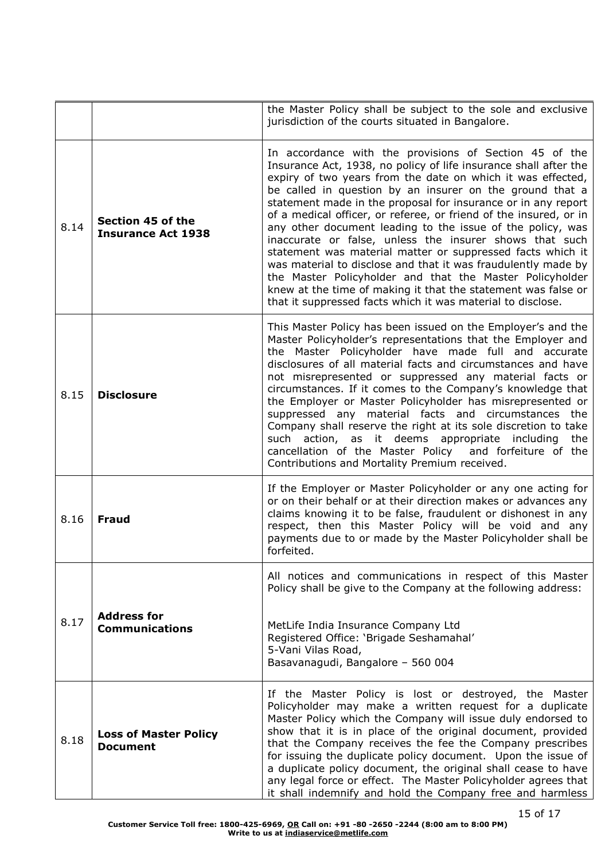|      |                                                 | the Master Policy shall be subject to the sole and exclusive<br>jurisdiction of the courts situated in Bangalore.                                                                                                                                                                                                                                                                                                                                                                                                                                                                                                                                                                                                                                                                                                                               |
|------|-------------------------------------------------|-------------------------------------------------------------------------------------------------------------------------------------------------------------------------------------------------------------------------------------------------------------------------------------------------------------------------------------------------------------------------------------------------------------------------------------------------------------------------------------------------------------------------------------------------------------------------------------------------------------------------------------------------------------------------------------------------------------------------------------------------------------------------------------------------------------------------------------------------|
| 8.14 | Section 45 of the<br><b>Insurance Act 1938</b>  | In accordance with the provisions of Section 45 of the<br>Insurance Act, 1938, no policy of life insurance shall after the<br>expiry of two years from the date on which it was effected,<br>be called in question by an insurer on the ground that a<br>statement made in the proposal for insurance or in any report<br>of a medical officer, or referee, or friend of the insured, or in<br>any other document leading to the issue of the policy, was<br>inaccurate or false, unless the insurer shows that such<br>statement was material matter or suppressed facts which it<br>was material to disclose and that it was fraudulently made by<br>the Master Policyholder and that the Master Policyholder<br>knew at the time of making it that the statement was false or<br>that it suppressed facts which it was material to disclose. |
| 8.15 | <b>Disclosure</b>                               | This Master Policy has been issued on the Employer's and the<br>Master Policyholder's representations that the Employer and<br>the Master Policyholder have made full and accurate<br>disclosures of all material facts and circumstances and have<br>not misrepresented or suppressed any material facts or<br>circumstances. If it comes to the Company's knowledge that<br>the Employer or Master Policyholder has misrepresented or<br>suppressed any material facts and circumstances the<br>Company shall reserve the right at its sole discretion to take<br>such action, as it deems appropriate including<br>the<br>cancellation of the Master Policy and forfeiture of the<br>Contributions and Mortality Premium received.                                                                                                           |
| 8.16 | <b>Fraud</b>                                    | If the Employer or Master Policyholder or any one acting for<br>or on their behalf or at their direction makes or advances any<br>claims knowing it to be false, fraudulent or dishonest in any<br>respect, then this Master Policy will be void and any<br>payments due to or made by the Master Policyholder shall be<br>forfeited.                                                                                                                                                                                                                                                                                                                                                                                                                                                                                                           |
|      |                                                 | All notices and communications in respect of this Master<br>Policy shall be give to the Company at the following address:                                                                                                                                                                                                                                                                                                                                                                                                                                                                                                                                                                                                                                                                                                                       |
| 8.17 | <b>Address for</b><br><b>Communications</b>     | MetLife India Insurance Company Ltd<br>Registered Office: 'Brigade Seshamahal'<br>5-Vani Vilas Road,<br>Basavanagudi, Bangalore - 560 004                                                                                                                                                                                                                                                                                                                                                                                                                                                                                                                                                                                                                                                                                                       |
| 8.18 | <b>Loss of Master Policy</b><br><b>Document</b> | If the Master Policy is lost or destroyed, the Master<br>Policyholder may make a written request for a duplicate<br>Master Policy which the Company will issue duly endorsed to<br>show that it is in place of the original document, provided<br>that the Company receives the fee the Company prescribes<br>for issuing the duplicate policy document. Upon the issue of<br>a duplicate policy document, the original shall cease to have<br>any legal force or effect. The Master Policyholder agrees that<br>it shall indemnify and hold the Company free and harmless                                                                                                                                                                                                                                                                      |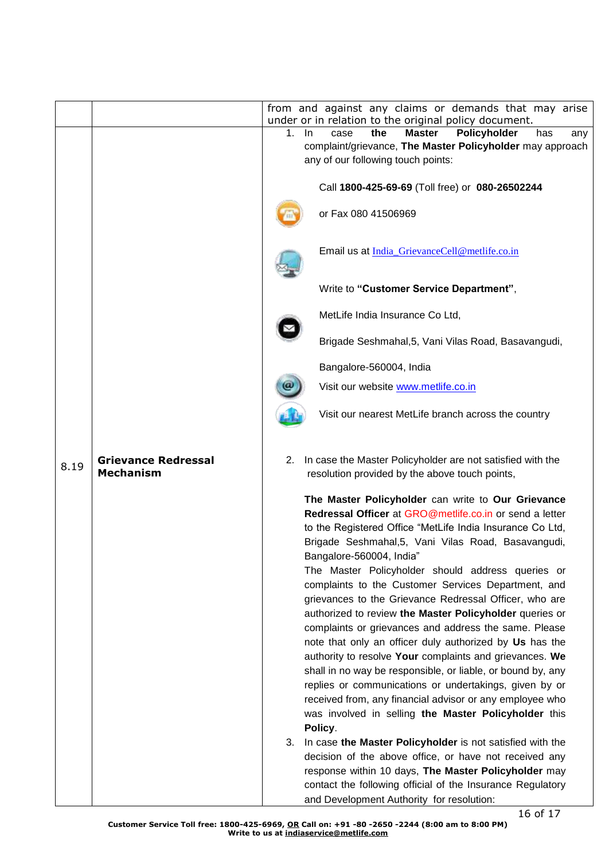|      |                                                | from and against any claims or demands that may arise                                                                                                                                                                                                                                                                                                                                                                                                                                                                                                                                                                                                                                                                                                                                                                                                                                                                      |
|------|------------------------------------------------|----------------------------------------------------------------------------------------------------------------------------------------------------------------------------------------------------------------------------------------------------------------------------------------------------------------------------------------------------------------------------------------------------------------------------------------------------------------------------------------------------------------------------------------------------------------------------------------------------------------------------------------------------------------------------------------------------------------------------------------------------------------------------------------------------------------------------------------------------------------------------------------------------------------------------|
|      |                                                | under or in relation to the original policy document.                                                                                                                                                                                                                                                                                                                                                                                                                                                                                                                                                                                                                                                                                                                                                                                                                                                                      |
|      |                                                | <b>Master</b><br>Policyholder<br>1.<br>the<br>has<br>In.<br>case<br>any                                                                                                                                                                                                                                                                                                                                                                                                                                                                                                                                                                                                                                                                                                                                                                                                                                                    |
|      |                                                | complaint/grievance, The Master Policyholder may approach                                                                                                                                                                                                                                                                                                                                                                                                                                                                                                                                                                                                                                                                                                                                                                                                                                                                  |
|      |                                                | any of our following touch points:                                                                                                                                                                                                                                                                                                                                                                                                                                                                                                                                                                                                                                                                                                                                                                                                                                                                                         |
|      |                                                | Call 1800-425-69-69 (Toll free) or 080-26502244                                                                                                                                                                                                                                                                                                                                                                                                                                                                                                                                                                                                                                                                                                                                                                                                                                                                            |
|      |                                                | or Fax 080 41506969                                                                                                                                                                                                                                                                                                                                                                                                                                                                                                                                                                                                                                                                                                                                                                                                                                                                                                        |
|      |                                                | Email us at India GrievanceCell@metlife.co.in                                                                                                                                                                                                                                                                                                                                                                                                                                                                                                                                                                                                                                                                                                                                                                                                                                                                              |
|      |                                                | Write to "Customer Service Department",                                                                                                                                                                                                                                                                                                                                                                                                                                                                                                                                                                                                                                                                                                                                                                                                                                                                                    |
|      |                                                | MetLife India Insurance Co Ltd,                                                                                                                                                                                                                                                                                                                                                                                                                                                                                                                                                                                                                                                                                                                                                                                                                                                                                            |
|      |                                                | Brigade Seshmahal, 5, Vani Vilas Road, Basavangudi,                                                                                                                                                                                                                                                                                                                                                                                                                                                                                                                                                                                                                                                                                                                                                                                                                                                                        |
|      |                                                | Bangalore-560004, India                                                                                                                                                                                                                                                                                                                                                                                                                                                                                                                                                                                                                                                                                                                                                                                                                                                                                                    |
|      |                                                | Visit our website www.metlife.co.in                                                                                                                                                                                                                                                                                                                                                                                                                                                                                                                                                                                                                                                                                                                                                                                                                                                                                        |
|      |                                                | Visit our nearest MetLife branch across the country                                                                                                                                                                                                                                                                                                                                                                                                                                                                                                                                                                                                                                                                                                                                                                                                                                                                        |
| 8.19 | <b>Grievance Redressal</b><br><b>Mechanism</b> | In case the Master Policyholder are not satisfied with the<br>2.<br>resolution provided by the above touch points,                                                                                                                                                                                                                                                                                                                                                                                                                                                                                                                                                                                                                                                                                                                                                                                                         |
|      |                                                | The Master Policyholder can write to Our Grievance<br>Redressal Officer at GRO@metlife.co.in or send a letter<br>to the Registered Office "MetLife India Insurance Co Ltd,<br>Brigade Seshmahal, 5, Vani Vilas Road, Basavangudi,<br>Bangalore-560004, India"<br>The Master Policyholder should address queries or<br>complaints to the Customer Services Department, and<br>grievances to the Grievance Redressal Officer, who are<br>authorized to review the Master Policyholder queries or<br>complaints or grievances and address the same. Please<br>note that only an officer duly authorized by Us has the<br>authority to resolve Your complaints and grievances. We<br>shall in no way be responsible, or liable, or bound by, any<br>replies or communications or undertakings, given by or<br>received from, any financial advisor or any employee who<br>was involved in selling the Master Policyholder this |
|      |                                                | Policy.<br>In case the Master Policyholder is not satisfied with the<br>3.<br>decision of the above office, or have not received any<br>response within 10 days, The Master Policyholder may<br>contact the following official of the Insurance Regulatory<br>and Development Authority for resolution:                                                                                                                                                                                                                                                                                                                                                                                                                                                                                                                                                                                                                    |